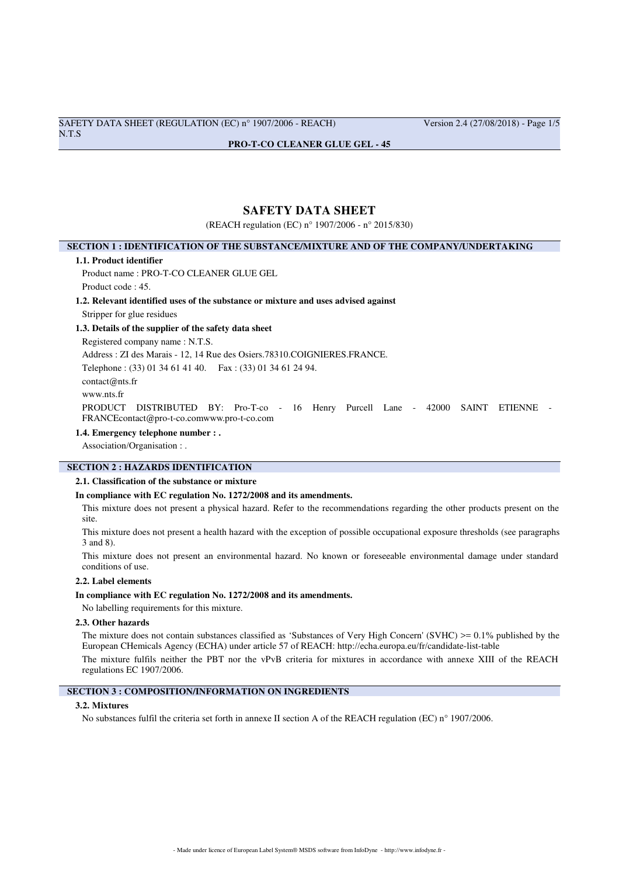SAFETY DATA SHEET (REGULATION (EC) n° 1907/2006 - REACH) Version 2.4 (27/08/2018) - Page 1/5 N.T.S

#### **PRO-T-CO CLEANER GLUE GEL - 45**

# **SAFETY DATA SHEET**

(REACH regulation (EC) n° 1907/2006 - n° 2015/830)

### **SECTION 1 : IDENTIFICATION OF THE SUBSTANCE/MIXTURE AND OF THE COMPANY/UNDERTAKING**

#### **1.1. Product identifier**

Product name : PRO-T-CO CLEANER GLUE GEL Product code : 45.

#### **1.2. Relevant identified uses of the substance or mixture and uses advised against**

Stripper for glue residues

### **1.3. Details of the supplier of the safety data sheet**

Registered company name : N.T.S. Address : ZI des Marais - 12, 14 Rue des Osiers.78310.COIGNIERES.FRANCE. Telephone : (33) 01 34 61 41 40. Fax : (33) 01 34 61 24 94. contact@nts.fr www.nts.fr PRODUCT DISTRIBUTED BY: Pro-T-co - 16 Henry Purcell Lane - 42000 SAINT ETIENNE - FRANCEcontact@pro-t-co.comwww.pro-t-co.com

#### **1.4. Emergency telephone number : .**

Association/Organisation : .

### **SECTION 2 : HAZARDS IDENTIFICATION**

#### **2.1. Classification of the substance or mixture**

#### **In compliance with EC regulation No. 1272/2008 and its amendments.**

This mixture does not present a physical hazard. Refer to the recommendations regarding the other products present on the site.

This mixture does not present a health hazard with the exception of possible occupational exposure thresholds (see paragraphs 3 and 8).

This mixture does not present an environmental hazard. No known or foreseeable environmental damage under standard conditions of use.

#### **2.2. Label elements**

#### **In compliance with EC regulation No. 1272/2008 and its amendments.**

No labelling requirements for this mixture.

### **2.3. Other hazards**

The mixture does not contain substances classified as 'Substances of Very High Concern' (SVHC)  $\geq 0.1\%$  published by the European CHemicals Agency (ECHA) under article 57 of REACH: http://echa.europa.eu/fr/candidate-list-table

The mixture fulfils neither the PBT nor the vPvB criteria for mixtures in accordance with annexe XIII of the REACH regulations EC 1907/2006.

# **SECTION 3 : COMPOSITION/INFORMATION ON INGREDIENTS**

#### **3.2. Mixtures**

No substances fulfil the criteria set forth in annexe II section A of the REACH regulation (EC) n° 1907/2006.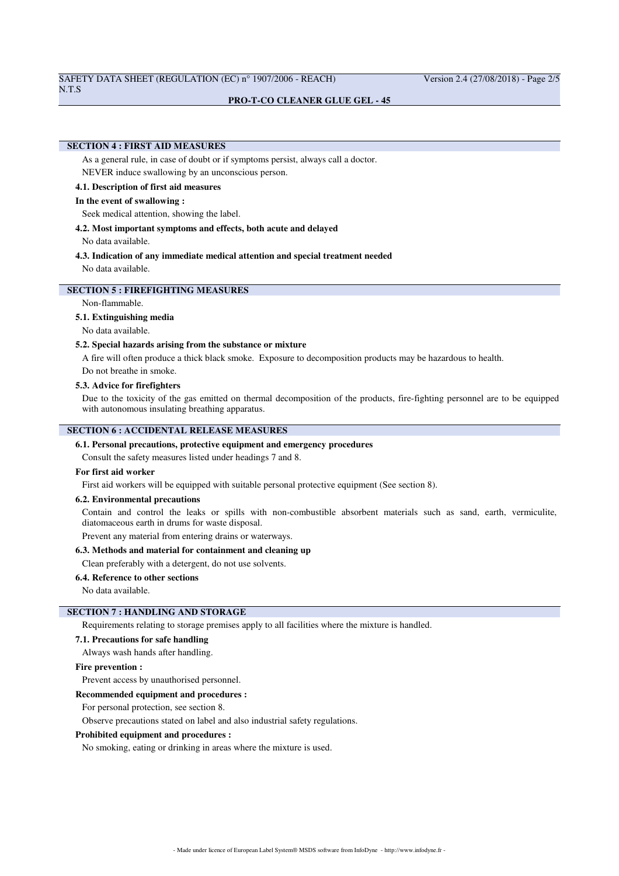# SAFETY DATA SHEET (REGULATION (EC) n° 1907/2006 - REACH) Version 2.4 (27/08/2018) - Page 2/5

#### **PRO-T-CO CLEANER GLUE GEL - 45**

# **SECTION 4 : FIRST AID MEASURES**

As a general rule, in case of doubt or if symptoms persist, always call a doctor. NEVER induce swallowing by an unconscious person.

#### **4.1. Description of first aid measures**

#### **In the event of swallowing :**

Seek medical attention, showing the label.

#### **4.2. Most important symptoms and effects, both acute and delayed**

No data available.

# **4.3. Indication of any immediate medical attention and special treatment needed**

No data available.

# **SECTION 5 : FIREFIGHTING MEASURES**

Non-flammable.

#### **5.1. Extinguishing media**

No data available.

#### **5.2. Special hazards arising from the substance or mixture**

A fire will often produce a thick black smoke. Exposure to decomposition products may be hazardous to health.

Do not breathe in smoke.

### **5.3. Advice for firefighters**

Due to the toxicity of the gas emitted on thermal decomposition of the products, fire-fighting personnel are to be equipped with autonomous insulating breathing apparatus.

# **SECTION 6 : ACCIDENTAL RELEASE MEASURES**

### **6.1. Personal precautions, protective equipment and emergency procedures**

Consult the safety measures listed under headings 7 and 8.

### **For first aid worker**

First aid workers will be equipped with suitable personal protective equipment (See section 8).

#### **6.2. Environmental precautions**

Contain and control the leaks or spills with non-combustible absorbent materials such as sand, earth, vermiculite, diatomaceous earth in drums for waste disposal.

Prevent any material from entering drains or waterways.

### **6.3. Methods and material for containment and cleaning up**

Clean preferably with a detergent, do not use solvents.

# **6.4. Reference to other sections**

No data available.

# **SECTION 7 : HANDLING AND STORAGE**

Requirements relating to storage premises apply to all facilities where the mixture is handled.

#### **7.1. Precautions for safe handling**

Always wash hands after handling.

# **Fire prevention :**

Prevent access by unauthorised personnel.

#### **Recommended equipment and procedures :**

For personal protection, see section 8.

Observe precautions stated on label and also industrial safety regulations.

### **Prohibited equipment and procedures :**

No smoking, eating or drinking in areas where the mixture is used.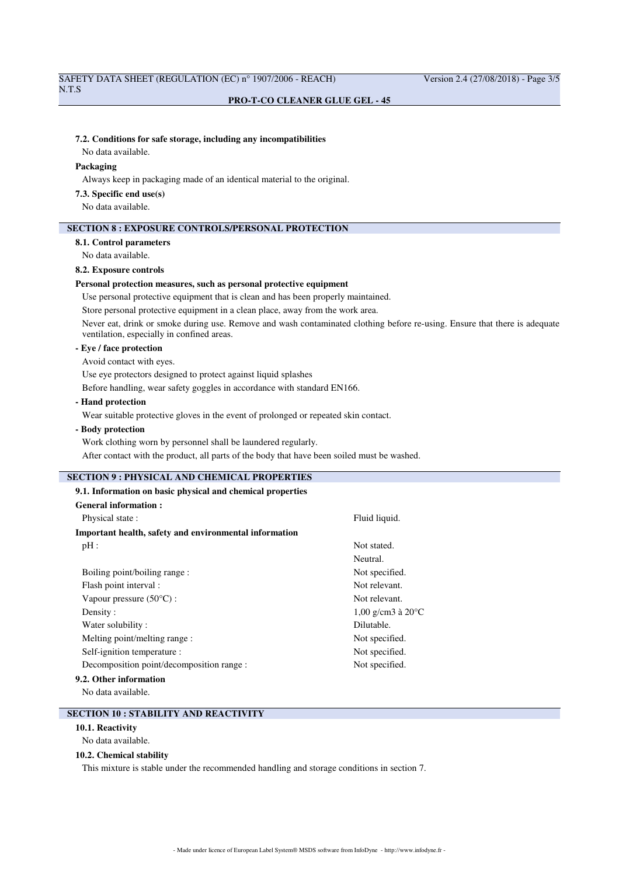#### **PRO-T-CO CLEANER GLUE GEL - 45**

#### **7.2. Conditions for safe storage, including any incompatibilities**

No data available.

### **Packaging**

Always keep in packaging made of an identical material to the original.

#### **7.3. Specific end use(s)**

No data available.

### **SECTION 8 : EXPOSURE CONTROLS/PERSONAL PROTECTION**

### **8.1. Control parameters**

No data available.

### **8.2. Exposure controls**

#### **Personal protection measures, such as personal protective equipment**

Use personal protective equipment that is clean and has been properly maintained.

Store personal protective equipment in a clean place, away from the work area.

Never eat, drink or smoke during use. Remove and wash contaminated clothing before re-using. Ensure that there is adequate ventilation, especially in confined areas.

# **- Eye / face protection**

Avoid contact with eyes.

Use eye protectors designed to protect against liquid splashes

Before handling, wear safety goggles in accordance with standard EN166.

### **- Hand protection**

Wear suitable protective gloves in the event of prolonged or repeated skin contact.

# **- Body protection**

Work clothing worn by personnel shall be laundered regularly. After contact with the product, all parts of the body that have been soiled must be washed.

# **SECTION 9 : PHYSICAL AND CHEMICAL PROPERTIES**

| 9.1. Information on basic physical and chemical properties |                             |
|------------------------------------------------------------|-----------------------------|
| General information:                                       |                             |
| Physical state:                                            | Fluid liquid.               |
| Important health, safety and environmental information     |                             |
| pH:                                                        | Not stated.                 |
|                                                            | Neutral.                    |
| Boiling point/boiling range:                               | Not specified.              |
| Flash point interval :                                     | Not relevant.               |
| Vapour pressure $(50^{\circ}C)$ :                          | Not relevant.               |
| Density:                                                   | 1,00 g/cm3 à $20^{\circ}$ C |
| Water solubility:                                          | Dilutable.                  |
| Melting point/melting range :                              | Not specified.              |
| Self-ignition temperature :                                | Not specified.              |
| Decomposition point/decomposition range :                  | Not specified.              |
| 9.2. Other information                                     |                             |

No data available.

# **SECTION 10 : STABILITY AND REACTIVITY**

**10.1. Reactivity**

No data available.

#### **10.2. Chemical stability**

This mixture is stable under the recommended handling and storage conditions in section 7.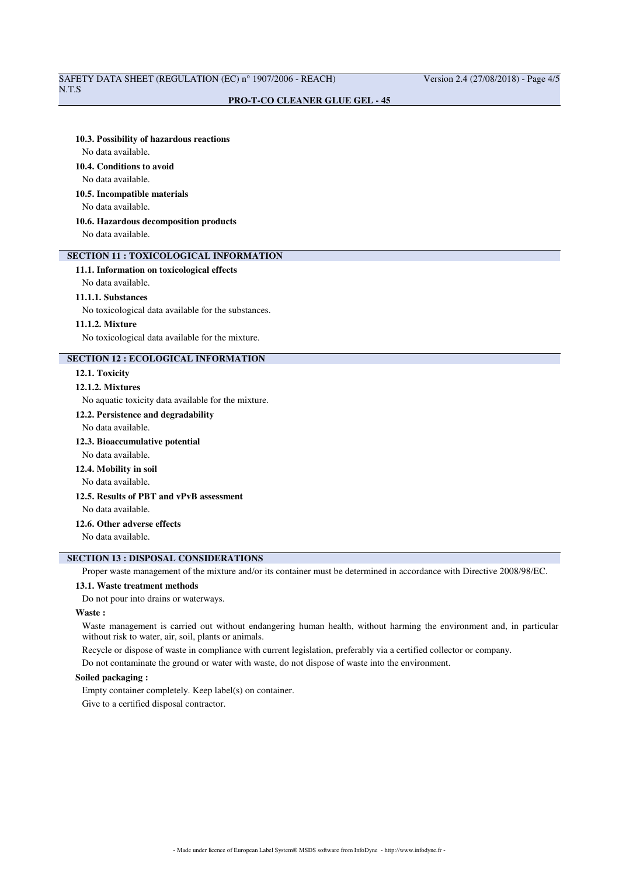# SAFETY DATA SHEET (REGULATION (EC) n° 1907/2006 - REACH) Version 2.4 (27/08/2018) - Page 4/5

### **PRO-T-CO CLEANER GLUE GEL - 45**

#### **10.3. Possibility of hazardous reactions**

No data available.

# **10.4. Conditions to avoid**

No data available.

#### **10.5. Incompatible materials**

No data available.

### **10.6. Hazardous decomposition products**

No data available.

# **SECTION 11 : TOXICOLOGICAL INFORMATION**

### **11.1. Information on toxicological effects**

No data available.

#### **11.1.1. Substances**

No toxicological data available for the substances.

#### **11.1.2. Mixture**

No toxicological data available for the mixture.

### **SECTION 12 : ECOLOGICAL INFORMATION**

#### **12.1. Toxicity**

### **12.1.2. Mixtures**

No aquatic toxicity data available for the mixture.

# **12.2. Persistence and degradability**

No data available.

# **12.3. Bioaccumulative potential**

No data available.

### **12.4. Mobility in soil**

No data available.

### **12.5. Results of PBT and vPvB assessment**

No data available.

### **12.6. Other adverse effects**

No data available.

# **SECTION 13 : DISPOSAL CONSIDERATIONS**

Proper waste management of the mixture and/or its container must be determined in accordance with Directive 2008/98/EC.

#### **13.1. Waste treatment methods**

Do not pour into drains or waterways.

### **Waste :**

Waste management is carried out without endangering human health, without harming the environment and, in particular without risk to water, air, soil, plants or animals.

Recycle or dispose of waste in compliance with current legislation, preferably via a certified collector or company.

Do not contaminate the ground or water with waste, do not dispose of waste into the environment.

### **Soiled packaging :**

Empty container completely. Keep label(s) on container.

Give to a certified disposal contractor.